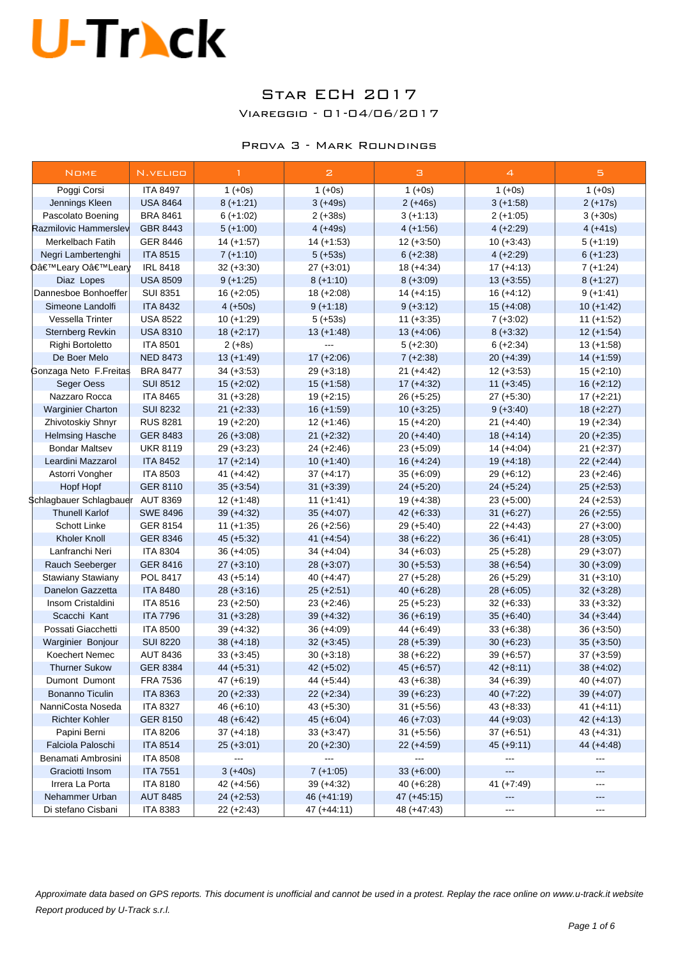### Star ECH 2017

Viareggio - 01-04/06/2017

#### Prova 3 - Mark Roundings

| <b>NOME</b>                       | N.VELICO        | $\mathbf{1}$ | $\mathbf{z}$                 | з            | 4                            | 5                 |
|-----------------------------------|-----------------|--------------|------------------------------|--------------|------------------------------|-------------------|
| Poggi Corsi                       | <b>ITA 8497</b> | $1 (+0s)$    | $1 (+0s)$                    | $1 (+0s)$    | $1 (+0s)$                    | $1 (+0s)$         |
| Jennings Kleen                    | <b>USA 8464</b> | $8 (+1:21)$  | $3 (+49s)$                   | $2 (+46s)$   | $3 (+1:58)$                  | $2 (+17s)$        |
| Pascolato Boening                 | <b>BRA 8461</b> | $6 (+1:02)$  | $2 (+38s)$                   | $3 (+1:13)$  | $2 (+1:05)$                  | $3 (+30s)$        |
| Razmilovic Hammerslev             | GBR 8443        | $5 (+1:00)$  | $4 (+49s)$                   | $4 (+1:56)$  | $4 (+2.29)$                  | $4 (+41s)$        |
| Merkelbach Fatih                  | GER 8446        | $14 (+1:57)$ | $14 (+1:53)$                 | $12 (+3.50)$ | $10 (+3:43)$                 | $5 (+1:19)$       |
| Negri Lambertenghi                | <b>ITA 8515</b> | $7 (+1:10)$  | $5 (+53s)$                   | $6 (+2.38)$  | $4 (+2:29)$                  | $6 (+1:23)$       |
| D'Leary O'Leary                   | <b>IRL 8418</b> | $32 (+3:30)$ | $27 (+3:01)$                 | $18 (+4.34)$ | $17 (+4:13)$                 | $7 (+1:24)$       |
| Diaz Lopes                        | <b>USA 8509</b> | $9 (+1:25)$  | $8 (+1:10)$                  | $8 (+3.09)$  | $13 (+3.55)$                 | $8 (+1:27)$       |
| Dannesboe Bonhoeffer              | <b>SUI 8351</b> | $16 (+2:05)$ | $18 (+2:08)$                 | $14 (+4:15)$ | $16 (+4:12)$                 | $9 (+1:41)$       |
| Simeone Landolfi                  | <b>ITA 8432</b> | $4 (+50s)$   | $9 (+1:18)$                  | $9 (+3.12)$  | $15 (+4.08)$                 | $10 (+1:42)$      |
| Vessella Trinter                  | <b>USA 8522</b> | $10 (+1:29)$ | $5 (+53s)$                   | $11 (+3:35)$ | $7 (+3.02)$                  | $11 (+1:52)$      |
| <b>Sternberg Revkin</b>           | <b>USA 8310</b> | $18 (+2:17)$ | $13 (+1:48)$                 | $13 (+4.06)$ | $8 (+3.32)$                  | $12 (+1.54)$      |
| Righi Bortoletto                  | <b>ITA 8501</b> | $2 (+8s)$    | $\overline{a}$               | $5 (+2.30)$  | $6 (+2:34)$                  | $13 (+1:58)$      |
| De Boer Melo                      | <b>NED 8473</b> | $13 (+1:49)$ | $17 (+2:06)$                 | $7 (+2.38)$  | $20 (+4:39)$                 | $14 (+1:59)$      |
| Gonzaga Neto F.Freitas            | <b>BRA 8477</b> | $34 (+3.53)$ | $29 (+3:18)$                 | $21 (+4:42)$ | $12 (+3.53)$                 | $15 (+2:10)$      |
| <b>Seger Oess</b>                 | <b>SUI 8512</b> | $15 (+2:02)$ | $15 (+1:58)$                 | $17 (+4:32)$ | $11 (+3:45)$                 | $16 (+2:12)$      |
| Nazzaro Rocca                     | <b>ITA 8465</b> | $31 (+3:28)$ | $19 (+2:15)$                 | $26 (+5:25)$ | $27 (+5:30)$                 | $17 (+2:21)$      |
| <b>Warginier Charton</b>          | <b>SUI 8232</b> | $21 (+2:33)$ | $16 (+1:59)$                 | $10 (+3:25)$ | $9 (+3:40)$                  | $18 (+2:27)$      |
| Zhivotoskiy Shnyr                 | <b>RUS 8281</b> | $19 (+2:20)$ | $12 (+1:46)$                 | $15 (+4:20)$ | $21 (+4:40)$                 | $19 (+2:34)$      |
| <b>Helmsing Hasche</b>            | GER 8483        | $26 (+3.08)$ | $21 (+2:32)$                 | $20 (+4:40)$ | $18 (+4:14)$                 | $20 (+2:35)$      |
| <b>Bondar Maltsev</b>             | <b>UKR 8119</b> | $29 (+3:23)$ | $24 (+2:46)$                 | $23 (+5.09)$ | $14 (+4.04)$                 | $21 (+2:37)$      |
| Leardini Mazzarol                 | <b>ITA 8452</b> | $17 (+2:14)$ | $10 (+1:40)$                 | $16 (+4:24)$ | $19 (+4:18)$                 | $22 (+2:44)$      |
| Astorri Vongher                   | <b>ITA 8503</b> | 41 $(+4:42)$ | $37 (+4:17)$                 | $35 (+6.09)$ | $29 (+6.12)$                 | $23 (+2:46)$      |
| Hopf Hopf                         | <b>GER 8110</b> | $35 (+3.54)$ | $31 (+3:39)$                 | $24 (+5:20)$ | $24 (+5:24)$                 | $25 (+2:53)$      |
| \$chlagbauer Schlagbauer AUT 8369 |                 | $12 (+1:48)$ | $11 (+1:41)$                 | $19 (+4:38)$ | $23 (+5:00)$                 | $24 (+2:53)$      |
| <b>Thunell Karlof</b>             | <b>SWE 8496</b> | $39 (+4.32)$ | $35 (+4:07)$                 | $42 (+6.33)$ | $31 (+6:27)$                 | $26 (+2:55)$      |
| Schott Linke                      | GER 8154        | $11 (+1:35)$ | $26 (+2:56)$                 | $29 (+5:40)$ | $22 (+4:43)$                 | $27 (+3:00)$      |
| <b>Kholer Knoll</b>               | <b>GER 8346</b> | $45 (+5.32)$ | $41 (+4.54)$                 | $38 (+6.22)$ | $36 (+6:41)$                 | $28 (+3:05)$      |
| Lanfranchi Neri                   | <b>ITA 8304</b> | $36 (+4.05)$ | $34 (+4.04)$                 | $34 (+6.03)$ | $25 (+5:28)$                 | $29 (+3.07)$      |
| Rauch Seeberger                   | <b>GER 8416</b> | $27 (+3:10)$ | $28 (+3:07)$                 | $30 (+5.53)$ | $38 (+6.54)$                 | $30 (+3.09)$      |
| Stawiany Stawiany                 | POL 8417        | $43 (+5.14)$ | $40 (+4:47)$                 | $27 (+5.28)$ | 26 (+5:29)                   | $31 (+3:10)$      |
| Danelon Gazzetta                  | <b>ITA 8480</b> | $28 (+3.16)$ | $25 (+2:51)$                 | $40 (+6.28)$ | $28 (+6.05)$                 | $32 (+3:28)$      |
| Insom Cristaldini                 | <b>ITA 8516</b> | $23 (+2:50)$ | $23 (+2:46)$                 | $25 (+5:23)$ | $32 (+6:33)$                 | $33 (+3:32)$      |
| Scacchi Kant                      | <b>ITA 7796</b> | $31 (+3:28)$ | $39 (+4:32)$                 | $36 (+6.19)$ | $35 (+6.40)$                 | $34 (+3:44)$      |
| Possati Giacchetti                | <b>ITA 8500</b> | $39 (+4.32)$ | $36 (+4.09)$                 | $44 (+6.49)$ | $33 (+6:38)$                 | $36 (+3.50)$      |
| Warginier Bonjour                 | <b>SUI 8220</b> | $38 (+4.18)$ | $32 (+3:45)$                 | $28 (+5.39)$ | $30 (+6:23)$                 | $35 (+3:50)$      |
| Koechert Nemec                    | <b>AUT 8436</b> |              |                              | $38 (+6:22)$ |                              |                   |
| <b>Thurner Sukow</b>              | <b>GER 8384</b> | $33 (+3:45)$ | $30 (+3:18)$                 |              | $39 (+6.57)$                 | $37 (+3.59)$      |
| Dumont Dumont                     |                 | 44 (+5:31)   | $42 (+5:02)$<br>$44 (+5.44)$ | $45 (+6.57)$ | $42 (+8:11)$                 | $38 (+4:02)$      |
| Bonanno Ticulin                   | <b>FRA 7536</b> | $47 (+6.19)$ |                              | $43 (+6.38)$ | $34 (+6.39)$<br>$40 (+7:22)$ | $40 (+4.07)$      |
|                                   | <b>ITA 8363</b> | $20 (+2:33)$ | $22 (+2:34)$                 | $39 (+6.23)$ |                              | $39 (+4.07)$      |
| NanniCosta Noseda                 | <b>ITA 8327</b> | $46 (+6:10)$ | $43 (+5:30)$                 | $31 (+5.56)$ | $43 (+8:33)$                 | $41 (+4:11)$      |
| <b>Richter Kohler</b>             | GER 8150        | $48 (+6.42)$ | $45 (+6.04)$                 | $46 (+7:03)$ | $44 (+9.03)$                 | $42 (+4:13)$      |
| Papini Berni                      | <b>ITA 8206</b> | $37 (+4:18)$ | $33 (+3:47)$                 | $31 (+5.56)$ | $37 (+6.51)$                 | $43 (+4:31)$      |
| Falciola Paloschi                 | <b>ITA 8514</b> | $25 (+3.01)$ | $20 (+2:30)$                 | $22 (+4:59)$ | $45 (+9:11)$                 | $44 (+4:48)$      |
| Benamati Ambrosini                | <b>ITA 8508</b> |              | ---                          | ---          | $\sim$ $\sim$                | $---$             |
| Graciotti Insom                   | <b>ITA 7551</b> | $3 (+40s)$   | $7 (+1:05)$                  | $33 (+6:00)$ | $\hspace{0.05cm} \ldots$     | ---               |
| Irrera La Porta                   | <b>ITA 8180</b> | $42 (+4:56)$ | $39 (+4.32)$                 | $40 (+6.28)$ | $41 (+7.49)$                 | $\qquad \qquad -$ |
| Nehammer Urban                    | <b>AUT 8485</b> | $24 (+2:53)$ | 46 (+41:19)                  | 47 (+45:15)  | ---                          | ---               |
| Di stefano Cisbani                | <b>ITA 8383</b> | $22 (+2:43)$ | 47 (+44:11)                  | 48 (+47:43)  | ---                          | ---               |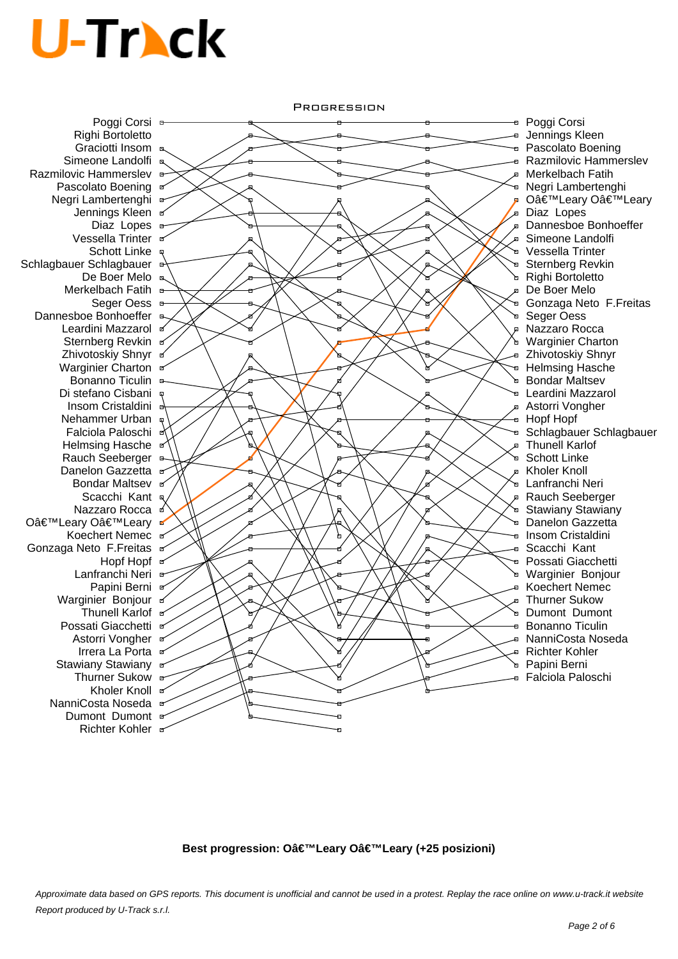Poggi Corsi <sup>⊕</sup> Righi Bortoletto Graciotti Insom & Simeone Landolfi & Razmilovic Hammerslev Pascolato Boening Negri Lambertenghi Jennings Kleen Diaz Lopes **Vessella Trinter** Schott Linke Schlagbauer Schlagbauer <sup>B</sup> De Boer Melo & Merkelbach Fatih Seger Oess B Dannesboe Bonhoeffer B Leardini Mazzarol of Sternberg Revkin Zhivotoskiy Shnyr Warginier Charton Bonanno Ticulin Di stefano Cisbani Insom Cristaldini Nehammer Urban Falciola Paloschi Helmsing Hasche Rauch Seeberger Danelon Gazzetta Bondar Maltsey Scacchi Kant Nazzaro Rocca d O'Leary O'Leary Koechert Nemec B Gonzaga Neto F.Freitas Hopf <sub>¤</sub> Lanfranchi Neri B Papini Berni & Warginier Bonjour Thunell Karlof **☞ Possati Giacchetti** F Astorri Vongher Irrera La Porta r Stawiany Stawiany <sub>or</sub> Thurner Sukow & Kholer Knoll & NanniCosta Noseda ☞ Dumont Dumont & Richter Kohler &



Best progression: Oâ€<sup>™</sup>Leary Oâ€<sup>™</sup>Leary (+25 posizioni)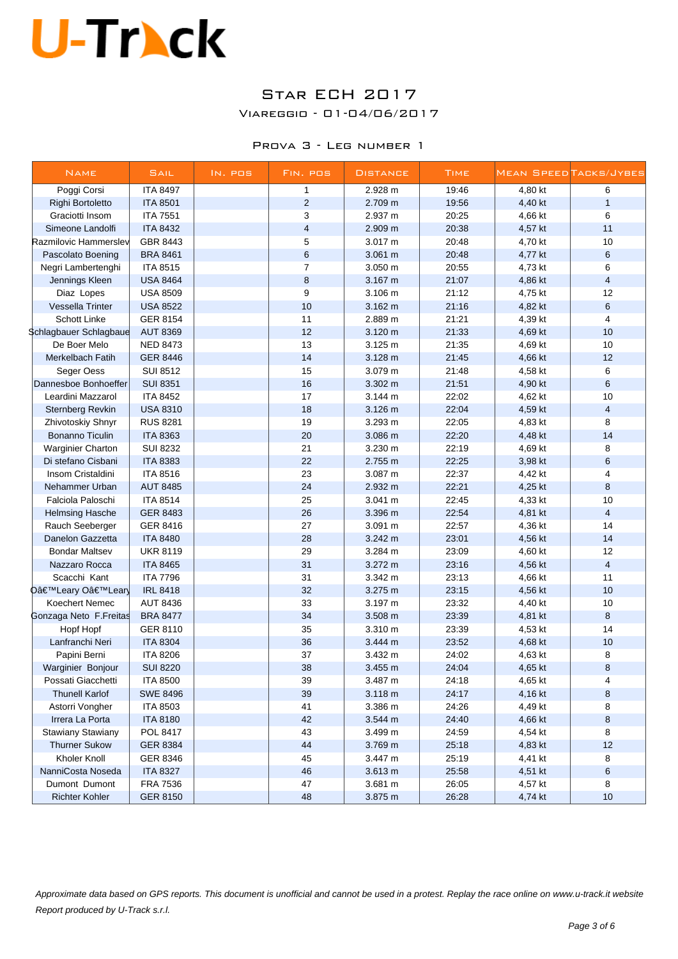### Star ECH 2017

Viareggio - 01-04/06/2017

#### Prova 3 - Leg number 1

| <b>NAME</b>                   | SAIL            | IN. POS | FIN. POS                | <b>DISTANCE</b> | <b>TIME</b> |         | <b>MEAN SPEED TACKS/JYBES</b> |
|-------------------------------|-----------------|---------|-------------------------|-----------------|-------------|---------|-------------------------------|
| Poggi Corsi                   | <b>ITA 8497</b> |         | $\mathbf{1}$            | 2.928 m         | 19:46       | 4,80 kt | 6                             |
| Righi Bortoletto              | <b>ITA 8501</b> |         | 2                       | 2.709 m         | 19:56       | 4,40 kt | $\mathbf{1}$                  |
| Graciotti Insom               | <b>ITA 7551</b> |         | 3                       | 2.937 m         | 20:25       | 4,66 kt | 6                             |
| Simeone Landolfi              | <b>ITA 8432</b> |         | $\overline{\mathbf{4}}$ | 2.909 m         | 20:38       | 4,57 kt | 11                            |
| Razmilovic Hammerslev         | GBR 8443        |         | 5                       | 3.017 m         | 20:48       | 4,70 kt | 10                            |
| Pascolato Boening             | <b>BRA 8461</b> |         | 6                       | 3.061 m         | 20:48       | 4,77 kt | 6                             |
| Negri Lambertenghi            | <b>ITA 8515</b> |         | $\overline{7}$          | 3.050 m         | 20:55       | 4,73 kt | 6                             |
| Jennings Kleen                | <b>USA 8464</b> |         | 8                       | 3.167 m         | 21:07       | 4,86 kt | $\overline{4}$                |
| Diaz Lopes                    | <b>USA 8509</b> |         | 9                       | 3.106 m         | 21:12       | 4,75 kt | 12                            |
| Vessella Trinter              | <b>USA 8522</b> |         | 10                      | 3.162 m         | 21:16       | 4,82 kt | 6                             |
| <b>Schott Linke</b>           | GER 8154        |         | 11                      | 2.889 m         | 21:21       | 4,39 kt | 4                             |
| <b>Schlagbauer Schlagbaue</b> | <b>AUT 8369</b> |         | 12                      | 3.120 m         | 21:33       | 4,69 kt | 10                            |
| De Boer Melo                  | <b>NED 8473</b> |         | 13                      | 3.125 m         | 21:35       | 4,69 kt | 10                            |
| Merkelbach Fatih              | <b>GER 8446</b> |         | 14                      | 3.128 m         | 21:45       | 4,66 kt | 12                            |
| Seger Oess                    | <b>SUI 8512</b> |         | 15                      | 3.079 m         | 21:48       | 4,58 kt | 6                             |
| Dannesboe Bonhoeffer          | <b>SUI 8351</b> |         | 16                      | 3.302 m         | 21:51       | 4,90 kt | 6                             |
| Leardini Mazzarol             | <b>ITA 8452</b> |         | 17                      | 3.144 m         | 22:02       | 4,62 kt | 10                            |
| Sternberg Revkin              | <b>USA 8310</b> |         | 18                      | 3.126 m         | 22:04       | 4,59 kt | $\overline{\mathbf{4}}$       |
| Zhivotoskiy Shnyr             | <b>RUS 8281</b> |         | 19                      | 3.293 m         | 22:05       | 4,83 kt | 8                             |
| <b>Bonanno Ticulin</b>        | <b>ITA 8363</b> |         | 20                      | 3.086 m         | 22:20       | 4,48 kt | 14                            |
| <b>Warginier Charton</b>      | <b>SUI 8232</b> |         | 21                      | 3.230 m         | 22:19       | 4,69 kt | 8                             |
| Di stefano Cisbani            | <b>ITA 8383</b> |         | 22                      | 2.755 m         | 22:25       | 3,98 kt | 6                             |
| Insom Cristaldini             | <b>ITA 8516</b> |         | 23                      | 3.087 m         | 22:37       | 4,42 kt | 4                             |
| Nehammer Urban                | <b>AUT 8485</b> |         | 24                      | 2.932 m         | 22:21       | 4,25 kt | 8                             |
| Falciola Paloschi             | <b>ITA 8514</b> |         | 25                      | 3.041 m         | 22:45       | 4,33 kt | 10                            |
| <b>Helmsing Hasche</b>        | <b>GER 8483</b> |         | 26                      | 3.396 m         | 22:54       | 4,81 kt | 4                             |
| Rauch Seeberger               | GER 8416        |         | 27                      | 3.091 m         | 22:57       | 4,36 kt | 14                            |
| Danelon Gazzetta              | <b>ITA 8480</b> |         | 28                      | 3.242 m         | 23:01       | 4,56 kt | 14                            |
| <b>Bondar Maltsev</b>         | <b>UKR 8119</b> |         | 29                      | 3.284 m         | 23:09       | 4,60 kt | 12                            |
| Nazzaro Rocca                 | <b>ITA 8465</b> |         | 31                      | 3.272 m         | 23:16       | 4,56 kt | $\overline{4}$                |
| Scacchi Kant                  | <b>ITA 7796</b> |         | 31                      | 3.342 m         | 23:13       | 4,66 kt | 11                            |
| D'Leary O'Lear                | <b>IRL 8418</b> |         | 32                      | 3.275 m         | 23:15       | 4,56 kt | 10                            |
| Koechert Nemec                | <b>AUT 8436</b> |         | 33                      | 3.197 m         | 23:32       | 4,40 kt | 10                            |
| Gonzaga Neto F.Freitas        | <b>BRA 8477</b> |         | 34                      | 3.508 m         | 23:39       | 4,81 kt | 8                             |
| Hopf Hopf                     | GER 8110        |         | 35                      | 3.310 m         | 23:39       | 4,53 kt | 14                            |
| Lanfranchi Neri               | <b>ITA 8304</b> |         | 36                      | 3.444 m         | 23:52       | 4,68 kt | 10                            |
| Papini Berni                  | <b>ITA 8206</b> |         | 37                      | 3.432 m         | 24:02       | 4,63 kt | 8                             |
| Warginier Bonjour             | <b>SUI 8220</b> |         | 38                      | 3.455 m         | 24:04       | 4,65 kt | 8                             |
| Possati Giacchetti            | <b>ITA 8500</b> |         | 39                      | 3.487 m         | 24:18       | 4,65 kt | 4                             |
| <b>Thunell Karlof</b>         | <b>SWE 8496</b> |         | 39                      | 3.118 m         | 24:17       | 4,16 kt | 8                             |
| Astorri Vongher               | <b>ITA 8503</b> |         | 41                      | 3.386 m         | 24:26       | 4,49 kt | 8                             |
| Irrera La Porta               | <b>ITA 8180</b> |         | 42                      | 3.544 m         | 24:40       | 4,66 kt | 8                             |
| <b>Stawiany Stawiany</b>      | POL 8417        |         | 43                      | 3.499 m         | 24:59       | 4,54 kt | 8                             |
| <b>Thurner Sukow</b>          | GER 8384        |         | 44                      | 3.769 m         | 25:18       | 4,83 kt | 12                            |
| Kholer Knoll                  | GER 8346        |         | 45                      | 3.447 m         | 25:19       | 4,41 kt | 8                             |
| NanniCosta Noseda             | <b>ITA 8327</b> |         | 46                      | 3.613 m         | 25:58       | 4,51 kt | 6                             |
| Dumont Dumont                 | <b>FRA 7536</b> |         | 47                      | 3.681 m         | 26:05       | 4,57 kt | 8                             |
| <b>Richter Kohler</b>         | GER 8150        |         | 48                      | 3.875 m         | 26:28       | 4,74 kt | 10                            |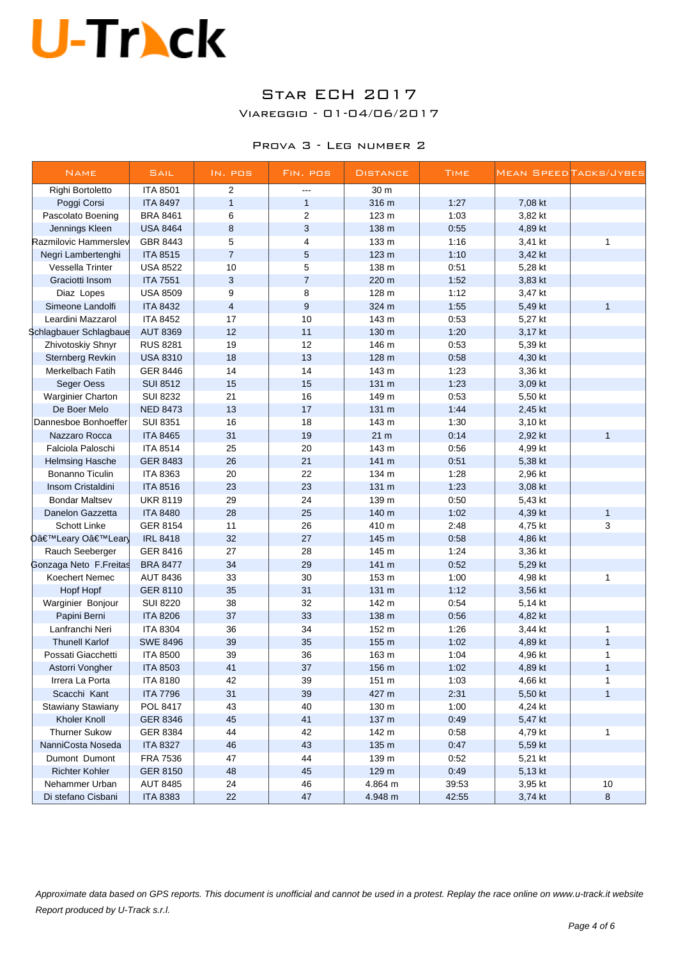### Star ECH 2017

Viareggio - 01-04/06/2017

#### Prova 3 - Leg number 2

| <b>NAME</b>                   | <b>SAIL</b>     | IN. POS                 | FIN. POS       | <b>DISTANCE</b> | <b>TIME</b> |         | MEAN SPEED TACKS/JYBES |
|-------------------------------|-----------------|-------------------------|----------------|-----------------|-------------|---------|------------------------|
| Righi Bortoletto              | <b>ITA 8501</b> | $\overline{2}$          | ---            | 30 m            |             |         |                        |
| Poggi Corsi                   | <b>ITA 8497</b> | $\mathbf{1}$            | $\mathbf{1}$   | 316 m           | 1:27        | 7,08 kt |                        |
| Pascolato Boening             | <b>BRA 8461</b> | 6                       | $\overline{2}$ | 123 m           | 1:03        | 3,82 kt |                        |
| Jennings Kleen                | <b>USA 8464</b> | 8                       | $\mathbf{3}$   | 138 m           | 0:55        | 4,89 kt |                        |
| Razmilovic Hammerslev         | GBR 8443        | 5                       | $\overline{4}$ | 133 m           | 1:16        | 3,41 kt | 1                      |
| Negri Lambertenghi            | <b>ITA 8515</b> | $\overline{7}$          | $\sqrt{5}$     | 123 m           | 1:10        | 3,42 kt |                        |
| Vessella Trinter              | <b>USA 8522</b> | 10                      | 5              | 138 m           | 0:51        | 5,28 kt |                        |
| Graciotti Insom               | <b>ITA 7551</b> | 3                       | $\overline{7}$ | 220 m           | 1:52        | 3,83 kt |                        |
| Diaz Lopes                    | <b>USA 8509</b> | 9                       | 8              | 128 m           | 1:12        | 3,47 kt |                        |
| Simeone Landolfi              | <b>ITA 8432</b> | $\overline{\mathbf{4}}$ | 9              | 324 m           | 1:55        | 5,49 kt | 1                      |
| Leardini Mazzarol             | <b>ITA 8452</b> | 17                      | 10             | 143 m           | 0:53        | 5,27 kt |                        |
| <b>Schlagbauer Schlagbaue</b> | <b>AUT 8369</b> | 12                      | 11             | 130 m           | 1:20        | 3,17 kt |                        |
| Zhivotoskiy Shnyr             | <b>RUS 8281</b> | 19                      | 12             | 146 m           | 0:53        | 5,39 kt |                        |
| Sternberg Revkin              | <b>USA 8310</b> | 18                      | 13             | 128 m           | 0:58        | 4,30 kt |                        |
| Merkelbach Fatih              | GER 8446        | 14                      | 14             | 143 m           | 1:23        | 3,36 kt |                        |
| Seger Oess                    | <b>SUI 8512</b> | 15                      | 15             | 131 m           | 1:23        | 3,09 kt |                        |
| Warginier Charton             | <b>SUI 8232</b> | 21                      | 16             | 149 m           | 0:53        | 5,50 kt |                        |
| De Boer Melo                  | <b>NED 8473</b> | 13                      | 17             | 131 m           | 1:44        | 2,45 kt |                        |
| Dannesboe Bonhoeffer          | <b>SUI 8351</b> | 16                      | 18             | 143 m           | 1:30        | 3,10 kt |                        |
| Nazzaro Rocca                 | <b>ITA 8465</b> | 31                      | 19             | 21 m            | 0:14        | 2,92 kt | $\mathbf{1}$           |
| Falciola Paloschi             | <b>ITA 8514</b> | 25                      | 20             | 143 m           | 0:56        | 4,99 kt |                        |
| <b>Helmsing Hasche</b>        | <b>GER 8483</b> | 26                      | 21             | 141 m           | 0.51        | 5,38 kt |                        |
| Bonanno Ticulin               | <b>ITA 8363</b> | 20                      | 22             | 134 m           | 1:28        | 2,96 kt |                        |
| Insom Cristaldini             | <b>ITA 8516</b> | 23                      | 23             | 131 m           | 1:23        | 3,08 kt |                        |
| <b>Bondar Maltsev</b>         | <b>UKR 8119</b> | 29                      | 24             | 139 m           | 0:50        | 5,43 kt |                        |
| Danelon Gazzetta              | <b>ITA 8480</b> | 28                      | 25             | 140 m           | 1:02        | 4,39 kt | 1                      |
| <b>Schott Linke</b>           | <b>GER 8154</b> | 11                      | 26             | 410 m           | 2:48        | 4,75 kt | 3                      |
| D'Leary O'Lear                | <b>IRL 8418</b> | 32                      | 27             | 145 m           | 0:58        | 4,86 kt |                        |
| Rauch Seeberger               | GER 8416        | 27                      | 28             | 145 m           | 1:24        | 3,36 kt |                        |
| Gonzaga Neto F.Freitas        | <b>BRA 8477</b> | 34                      | 29             | 141 m           | 0:52        | 5,29 kt |                        |
| Koechert Nemec                | <b>AUT 8436</b> | 33                      | 30             | 153 m           | 1:00        | 4,98 kt | $\mathbf{1}$           |
| Hopf Hopf                     | <b>GER 8110</b> | 35                      | 31             | 131 m           | 1:12        | 3,56 kt |                        |
| Warginier Bonjour             | <b>SUI 8220</b> | 38                      | 32             | 142 m           | 0:54        | 5,14 kt |                        |
| Papini Berni                  | <b>ITA 8206</b> | 37                      | 33             | 138 m           | 0:56        | 4,82 kt |                        |
| Lanfranchi Neri               | <b>ITA 8304</b> | 36                      | 34             | 152 m           | 1:26        | 3,44 kt | 1                      |
| <b>Thunell Karlof</b>         | <b>SWE 8496</b> | 39                      | 35             | 155 m           | 1:02        | 4,89 kt | $\mathbf{1}$           |
| Possati Giacchetti            | <b>ITA 8500</b> | 39                      | 36             | 163 m           | 1:04        | 4,96 kt | 1                      |
| Astorri Vongher               | <b>ITA 8503</b> | 41                      | 37             | 156 m           | 1:02        | 4,89 kt | $\mathbf{1}$           |
| Irrera La Porta               | <b>ITA 8180</b> | 42                      | 39             | 151 m           | 1:03        | 4,66 kt | $\mathbf 1$            |
| Scacchi Kant                  | <b>ITA 7796</b> | 31                      | 39             | 427 m           | 2:31        | 5,50 kt | 1                      |
| Stawiany Stawiany             | POL 8417        | 43                      | 40             | 130 m           | 1:00        | 4,24 kt |                        |
| Kholer Knoll                  | <b>GER 8346</b> | 45                      | 41             | 137 m           | 0:49        | 5,47 kt |                        |
| <b>Thurner Sukow</b>          | GER 8384        | 44                      | 42             | 142 m           | 0:58        | 4,79 kt | $\mathbf{1}$           |
| NanniCosta Noseda             | <b>ITA 8327</b> | 46                      | 43             | 135 m           | 0:47        | 5,59 kt |                        |
| Dumont Dumont                 | FRA 7536        | 47                      | 44             | 139 m           | 0:52        | 5,21 kt |                        |
| <b>Richter Kohler</b>         | <b>GER 8150</b> | 48                      | 45             | 129 m           | 0:49        | 5,13 kt |                        |
| Nehammer Urban                | <b>AUT 8485</b> | 24                      | 46             | 4.864 m         | 39:53       | 3,95 kt | 10                     |
| Di stefano Cisbani            | <b>ITA 8383</b> | 22                      | 47             | 4.948 m         | 42:55       | 3,74 kt | 8                      |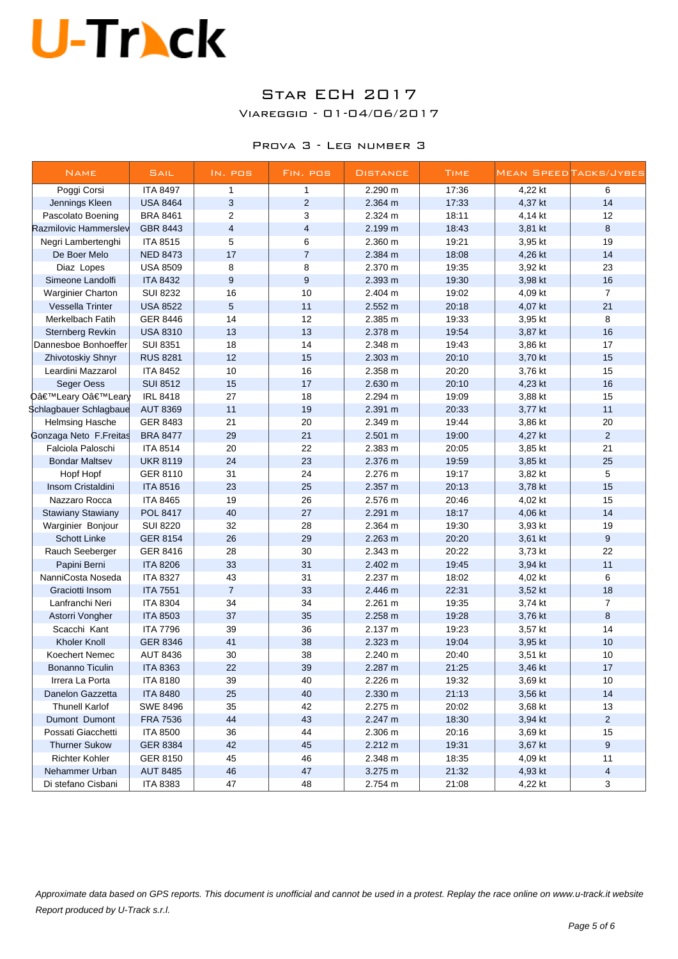### Star ECH 2017

Viareggio - 01-04/06/2017

#### Prova 3 - Leg number 3

| <b>NAME</b>                   | <b>SAIL</b>     | IN. POS                 | FIN. POS         | <b>DISTANCE</b> | <b>TIME</b> |         | <b>MEAN SPEED TACKS/JYBES</b> |
|-------------------------------|-----------------|-------------------------|------------------|-----------------|-------------|---------|-------------------------------|
| Poggi Corsi                   | <b>ITA 8497</b> | $\mathbf{1}$            | 1                | 2.290 m         | 17:36       | 4,22 kt | 6                             |
| Jennings Kleen                | <b>USA 8464</b> | 3                       | $\overline{2}$   | 2.364 m         | 17:33       | 4,37 kt | 14                            |
| Pascolato Boening             | <b>BRA 8461</b> | $\overline{2}$          | 3                | 2.324 m         | 18:11       | 4,14 kt | 12                            |
| Razmilovic Hammerslev         | GBR 8443        | $\overline{\mathbf{4}}$ | 4                | 2.199 m         | 18:43       | 3,81 kt | 8                             |
| Negri Lambertenghi            | <b>ITA 8515</b> | 5                       | 6                | 2.360 m         | 19:21       | 3,95 kt | 19                            |
| De Boer Melo                  | <b>NED 8473</b> | 17                      | $\overline{7}$   | 2.384 m         | 18:08       | 4,26 kt | 14                            |
| Diaz Lopes                    | <b>USA 8509</b> | 8                       | 8                | 2.370 m         | 19:35       | 3,92 kt | 23                            |
| Simeone Landolfi              | <b>ITA 8432</b> | 9                       | $\boldsymbol{9}$ | 2.393 m         | 19:30       | 3,98 kt | 16                            |
| <b>Warginier Charton</b>      | <b>SUI 8232</b> | 16                      | 10               | 2.404 m         | 19:02       | 4,09 kt | $\overline{7}$                |
| Vessella Trinter              | <b>USA 8522</b> | 5                       | 11               | 2.552 m         | 20:18       | 4,07 kt | 21                            |
| Merkelbach Fatih              | GER 8446        | 14                      | 12               | 2.385 m         | 19:33       | 3,95 kt | 8                             |
| <b>Sternberg Revkin</b>       | <b>USA 8310</b> | 13                      | 13               | 2.378 m         | 19:54       | 3,87 kt | 16                            |
| Dannesboe Bonhoeffer          | <b>SUI 8351</b> | 18                      | 14               | 2.348 m         | 19:43       | 3,86 kt | 17                            |
| Zhivotoskiy Shnyr             | <b>RUS 8281</b> | 12                      | 15               | 2.303 m         | 20:10       | 3,70 kt | 15                            |
| Leardini Mazzarol             | <b>ITA 8452</b> | 10                      | 16               | 2.358 m         | 20:20       | 3,76 kt | 15                            |
| Seger Oess                    | <b>SUI 8512</b> | 15                      | 17               | 2.630 m         | 20:10       | 4,23 kt | 16                            |
| D'Leary O'Leary               | <b>IRL 8418</b> | 27                      | 18               | 2.294 m         | 19:09       | 3,88 kt | 15                            |
| <b>Schlagbauer Schlagbaue</b> | <b>AUT 8369</b> | 11                      | 19               | 2.391 m         | 20:33       | 3,77 kt | 11                            |
| <b>Helmsing Hasche</b>        | GER 8483        | 21                      | 20               | 2.349 m         | 19:44       | 3,86 kt | 20                            |
| Gonzaga Neto F.Freitas        | <b>BRA 8477</b> | 29                      | 21               | 2.501 m         | 19:00       | 4,27 kt | $\overline{2}$                |
| Falciola Paloschi             | <b>ITA 8514</b> | 20                      | 22               | 2.383 m         | 20:05       | 3,85 kt | 21                            |
| <b>Bondar Maltsev</b>         | <b>UKR 8119</b> | 24                      | 23               | 2.376 m         | 19:59       | 3,85 kt | 25                            |
| Hopf Hopf                     | GER 8110        | 31                      | 24               | 2.276 m         | 19:17       | 3,82 kt | 5                             |
| Insom Cristaldini             | <b>ITA 8516</b> | 23                      | 25               | 2.357 m         | 20:13       | 3,78 kt | 15                            |
| Nazzaro Rocca                 | <b>ITA 8465</b> | 19                      | 26               | 2.576 m         | 20:46       | 4,02 kt | 15                            |
| <b>Stawiany Stawiany</b>      | POL 8417        | 40                      | 27               | 2.291 m         | 18:17       | 4,06 kt | 14                            |
| Warginier Bonjour             | <b>SUI 8220</b> | 32                      | 28               | 2.364 m         | 19:30       | 3,93 kt | 19                            |
| <b>Schott Linke</b>           | <b>GER 8154</b> | 26                      | 29               | 2.263 m         | 20:20       | 3,61 kt | 9                             |
| Rauch Seeberger               | GER 8416        | 28                      | 30               | 2.343 m         | 20:22       | 3,73 kt | 22                            |
| Papini Berni                  | <b>ITA 8206</b> | 33                      | 31               | 2.402 m         | 19:45       | 3,94 kt | 11                            |
| NanniCosta Noseda             | <b>ITA 8327</b> | 43                      | 31               | 2.237 m         | 18:02       | 4,02 kt | 6                             |
| Graciotti Insom               | <b>ITA 7551</b> | $\overline{7}$          | 33               | 2.446 m         | 22:31       | 3,52 kt | 18                            |
| Lanfranchi Neri               | <b>ITA 8304</b> | 34                      | 34               | 2.261 m         | 19:35       | 3,74 kt | $\overline{7}$                |
| Astorri Vongher               | <b>ITA 8503</b> | 37                      | 35               | 2.258 m         | 19:28       | 3,76 kt | 8                             |
| Scacchi Kant                  | <b>ITA 7796</b> | 39                      | 36               | 2.137 m         | 19:23       | 3,57 kt | 14                            |
| <b>Kholer Knoll</b>           | <b>GER 8346</b> | 41                      | 38               | 2.323 m         | 19:04       | 3,95 kt | 10                            |
| Koechert Nemec                | <b>AUT 8436</b> | 30                      | 38               | 2.240 m         | 20:40       | 3,51 kt | 10                            |
| Bonanno Ticulin               | ITA 8363        | 22                      | 39               | 2.287 m         | 21:25       | 3,46 kt | 17                            |
| Irrera La Porta               | <b>ITA 8180</b> | 39                      | 40               | 2.226 m         | 19:32       | 3,69 kt | 10                            |
| Danelon Gazzetta              | <b>ITA 8480</b> | 25                      | 40               | 2.330 m         | 21:13       | 3,56 kt | 14                            |
| <b>Thunell Karlof</b>         | <b>SWE 8496</b> | 35                      | 42               | 2.275 m         | 20:02       | 3,68 kt | 13                            |
| Dumont Dumont                 | <b>FRA 7536</b> | 44                      | 43               | 2.247 m         | 18:30       | 3,94 kt | $\overline{2}$                |
| Possati Giacchetti            | <b>ITA 8500</b> | 36                      | 44               | 2.306 m         | 20:16       | 3,69 kt | 15                            |
| <b>Thurner Sukow</b>          | GER 8384        | 42                      | 45               | 2.212 m         | 19:31       | 3,67 kt | 9                             |
| <b>Richter Kohler</b>         | GER 8150        | 45                      | 46               | 2.348 m         | 18:35       | 4,09 kt | 11                            |
| Nehammer Urban                | <b>AUT 8485</b> | 46                      | 47               | 3.275 m         | 21:32       | 4,93 kt | $\overline{4}$                |
| Di stefano Cisbani            | <b>ITA 8383</b> | 47                      | 48               | 2.754 m         | 21:08       | 4,22 kt | 3                             |